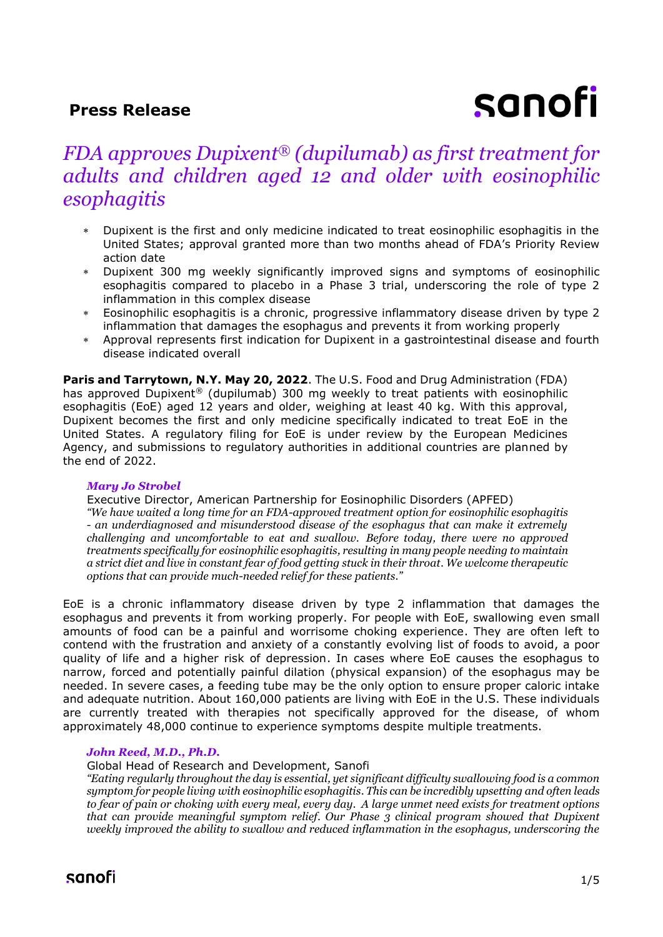## **Press Release**

# sanofi

## *FDA approves Dupixent® (dupilumab) as first treatment for adults and children aged 12 and older with eosinophilic esophagitis*

- Dupixent is the first and only medicine indicated to treat eosinophilic esophagitis in the United States; approval granted more than two months ahead of FDA's Priority Review action date
- Dupixent 300 mg weekly significantly improved signs and symptoms of eosinophilic esophagitis compared to placebo in a Phase 3 trial, underscoring the role of type 2 inflammation in this complex disease
- Eosinophilic esophagitis is a chronic, progressive inflammatory disease driven by type 2 inflammation that damages the esophagus and prevents it from working properly
- Approval represents first indication for Dupixent in a gastrointestinal disease and fourth disease indicated overall

Paris and Tarrytown, N.Y. May 20, 2022. The U.S. Food and Drug Administration (FDA) has approved Dupixent® (dupilumab) 300 mg weekly to treat patients with eosinophilic esophagitis (EoE) aged 12 years and older, weighing at least 40 kg. With this approval, Dupixent becomes the first and only medicine specifically indicated to treat EoE in the United States. A regulatory filing for EoE is under review by the European Medicines Agency, and submissions to regulatory authorities in additional countries are planned by the end of 2022.

#### *Mary Jo Strobel*

Executive Director, American Partnership for Eosinophilic Disorders (APFED) *"We have waited a long time for an FDA-approved treatment option for eosinophilic esophagitis - an underdiagnosed and misunderstood disease of the esophagus that can make it extremely challenging and uncomfortable to eat and swallow. Before today, there were no approved treatments specifically for eosinophilic esophagitis, resulting in many people needing to maintain a strict diet and live in constant fear of food getting stuck in their throat. We welcome therapeutic options that can provide much-needed relief for these patients."*

EoE is a chronic inflammatory disease driven by type 2 inflammation that damages the esophagus and prevents it from working properly. For people with EoE, swallowing even small amounts of food can be a painful and worrisome choking experience. They are often left to contend with the frustration and anxiety of a constantly evolving list of foods to avoid, a poor quality of life and a higher risk of depression. In cases where EoE causes the esophagus to narrow, forced and potentially painful dilation (physical expansion) of the esophagus may be needed. In severe cases, a feeding tube may be the only option to ensure proper caloric intake and adequate nutrition. About 160,000 patients are living with EoE in the U.S. These individuals are currently treated with therapies not specifically approved for the disease, of whom approximately 48,000 continue to experience symptoms despite multiple treatments.

## *John Reed, M.D., Ph.D.*

Global Head of Research and Development, Sanofi

*"Eating regularly throughout the day is essential, yet significant difficulty swallowing food is a common symptom for people living with eosinophilic esophagitis. This can be incredibly upsetting and often leads to fear of pain or choking with every meal, every day. A large unmet need exists for treatment options that can provide meaningful symptom relief. Our Phase 3 clinical program showed that Dupixent weekly improved the ability to swallow and reduced inflammation in the esophagus, underscoring the*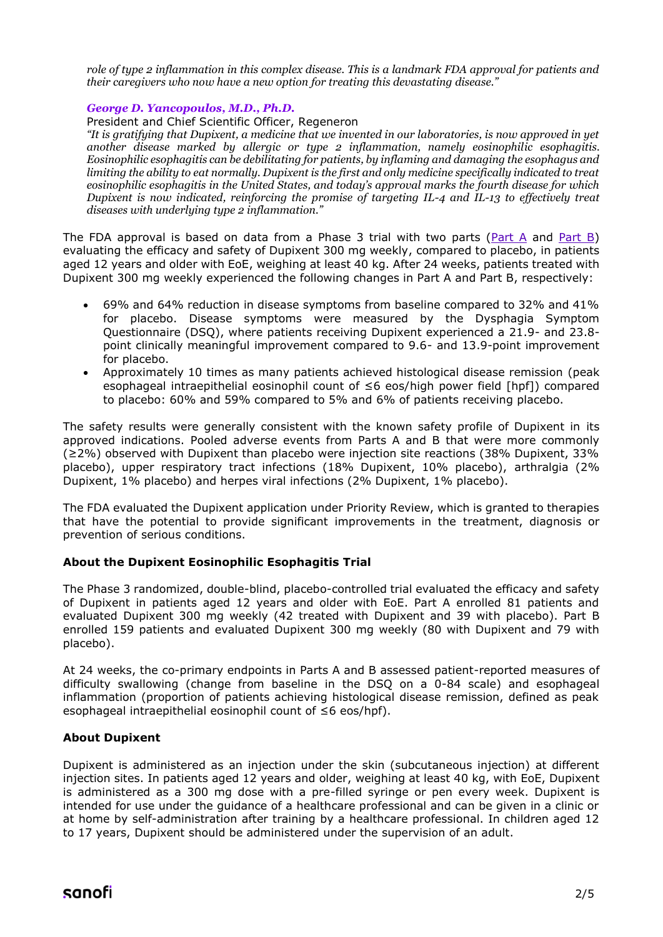*role of type 2 inflammation in this complex disease. This is a landmark FDA approval for patients and their caregivers who now have a new option for treating this devastating disease."*

#### *George D. Yancopoulos, M.D., Ph.D.*

President and Chief Scientific Officer, Regeneron

*"It is gratifying that Dupixent, a medicine that we invented in our laboratories, is now approved in yet another disease marked by allergic or type 2 inflammation, namely eosinophilic esophagitis. Eosinophilic esophagitis can be debilitating for patients, by inflaming and damaging the esophagus and limiting the ability to eat normally. Dupixent is the first and only medicine specifically indicated to treat eosinophilic esophagitis in the United States, and today's approval marks the fourth disease for which Dupixent is now indicated, reinforcing the promise of targeting IL-4 and IL-13 to effectively treat diseases with underlying type 2 inflammation."* 

The FDA approval is based on data from a Phase 3 trial with two parts [\(Part A](https://www.sanofi.com/en/media-room/press-releases/2020/2020-05-23-00-25-00) and [Part B\)](https://www.sanofi.com/en/media-room/press-releases/2022/2022-02-26-18-05-00-2392626) evaluating the efficacy and safety of Dupixent 300 mg weekly, compared to placebo, in patients aged 12 years and older with EoE, weighing at least 40 kg. After 24 weeks, patients treated with Dupixent 300 mg weekly experienced the following changes in Part A and Part B, respectively:

- 69% and 64% reduction in disease symptoms from baseline compared to 32% and 41% for placebo. Disease symptoms were measured by the Dysphagia Symptom Questionnaire (DSQ), where patients receiving Dupixent experienced a 21.9- and 23.8 point clinically meaningful improvement compared to 9.6- and 13.9-point improvement for placebo.
- Approximately 10 times as many patients achieved histological disease remission (peak esophageal intraepithelial eosinophil count of ≤6 eos/high power field [hpf]) compared to placebo: 60% and 59% compared to 5% and 6% of patients receiving placebo.

The safety results were generally consistent with the known safety profile of Dupixent in its approved indications. Pooled adverse events from Parts A and B that were more commonly (≥2%) observed with Dupixent than placebo were injection site reactions (38% Dupixent, 33% placebo), upper respiratory tract infections (18% Dupixent, 10% placebo), arthralgia (2% Dupixent, 1% placebo) and herpes viral infections (2% Dupixent, 1% placebo).

The FDA evaluated the Dupixent application under Priority Review, which is granted to therapies that have the potential to provide significant improvements in the treatment, diagnosis or prevention of serious conditions.

## **About the Dupixent Eosinophilic Esophagitis Trial**

The Phase 3 randomized, double-blind, placebo-controlled trial evaluated the efficacy and safety of Dupixent in patients aged 12 years and older with EoE. Part A enrolled 81 patients and evaluated Dupixent 300 mg weekly (42 treated with Dupixent and 39 with placebo). Part B enrolled 159 patients and evaluated Dupixent 300 mg weekly (80 with Dupixent and 79 with placebo).

At 24 weeks, the co-primary endpoints in Parts A and B assessed patient-reported measures of difficulty swallowing (change from baseline in the DSQ on a 0-84 scale) and esophageal inflammation (proportion of patients achieving histological disease remission, defined as peak esophageal intraepithelial eosinophil count of ≤6 eos/hpf).

#### **About Dupixent**

Dupixent is administered as an injection under the skin (subcutaneous injection) at different injection sites. In patients aged 12 years and older, weighing at least 40 kg, with EoE, Dupixent is administered as a 300 mg dose with a pre-filled syringe or pen every week. Dupixent is intended for use under the guidance of a healthcare professional and can be given in a clinic or at home by self-administration after training by a healthcare professional. In children aged 12 to 17 years, Dupixent should be administered under the supervision of an adult.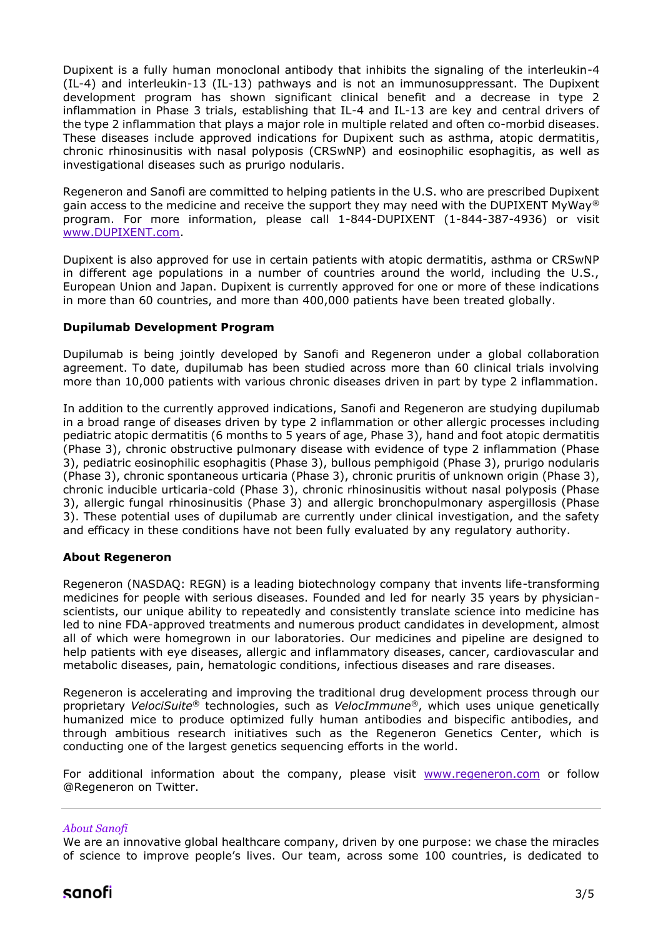Dupixent is a fully human monoclonal antibody that inhibits the signaling of the interleukin-4 (IL-4) and interleukin-13 (IL-13) pathways and is not an immunosuppressant. The Dupixent development program has shown significant clinical benefit and a decrease in type 2 inflammation in Phase 3 trials, establishing that IL-4 and IL-13 are key and central drivers of the type 2 inflammation that plays a major role in multiple related and often co-morbid diseases. These diseases include approved indications for Dupixent such as asthma, atopic dermatitis, chronic rhinosinusitis with nasal polyposis (CRSwNP) and eosinophilic esophagitis, as well as investigational diseases such as prurigo nodularis.

Regeneron and Sanofi are committed to helping patients in the U.S. who are prescribed Dupixent gain access to the medicine and receive the support they may need with the DUPIXENT MyWay<sup>®</sup> program. For more information, please call 1-844-DUPIXENT (1-844-387-4936) or visit [www.DUPIXENT.com.](https://www.dupixent.com/)

Dupixent is also approved for use in certain patients with atopic dermatitis, asthma or CRSwNP in different age populations in a number of countries around the world, including the U.S., European Union and Japan. Dupixent is currently approved for one or more of these indications in more than 60 countries, and more than 400,000 patients have been treated globally.

## **Dupilumab Development Program**

Dupilumab is being jointly developed by Sanofi and Regeneron under a global collaboration agreement. To date, dupilumab has been studied across more than 60 clinical trials involving more than 10,000 patients with various chronic diseases driven in part by type 2 inflammation.

In addition to the currently approved indications, Sanofi and Regeneron are studying dupilumab in a broad range of diseases driven by type 2 inflammation or other allergic processes including pediatric atopic dermatitis (6 months to 5 years of age, Phase 3), hand and foot atopic dermatitis (Phase 3), chronic obstructive pulmonary disease with evidence of type 2 inflammation (Phase 3), pediatric eosinophilic esophagitis (Phase 3), bullous pemphigoid (Phase 3), prurigo nodularis (Phase 3), chronic spontaneous urticaria (Phase 3), chronic pruritis of unknown origin (Phase 3), chronic inducible urticaria-cold (Phase 3), chronic rhinosinusitis without nasal polyposis (Phase 3), allergic fungal rhinosinusitis (Phase 3) and allergic bronchopulmonary aspergillosis (Phase 3). These potential uses of dupilumab are currently under clinical investigation, and the safety and efficacy in these conditions have not been fully evaluated by any regulatory authority.

## **About Regeneron**

Regeneron (NASDAQ: REGN) is a leading biotechnology company that invents life-transforming medicines for people with serious diseases. Founded and led for nearly 35 years by physicianscientists, our unique ability to repeatedly and consistently translate science into medicine has led to nine FDA-approved treatments and numerous product candidates in development, almost all of which were homegrown in our laboratories. Our medicines and pipeline are designed to help patients with eye diseases, allergic and inflammatory diseases, cancer, cardiovascular and metabolic diseases, pain, hematologic conditions, infectious diseases and rare diseases.

Regeneron is accelerating and improving the traditional drug development process through our proprietary *VelociSuite®* technologies, such as *VelocImmune®*, which uses unique genetically humanized mice to produce optimized fully human antibodies and bispecific antibodies, and through ambitious research initiatives such as the Regeneron Genetics Center, which is conducting one of the largest genetics sequencing efforts in the world.

For additional information about the company, please visit [www.regeneron.com](https://www.regeneron.com/) or follow @Regeneron on Twitter.

## *About Sanofi*

We are an innovative global healthcare company, driven by one purpose: we chase the miracles of science to improve people's lives. Our team, across some 100 countries, is dedicated to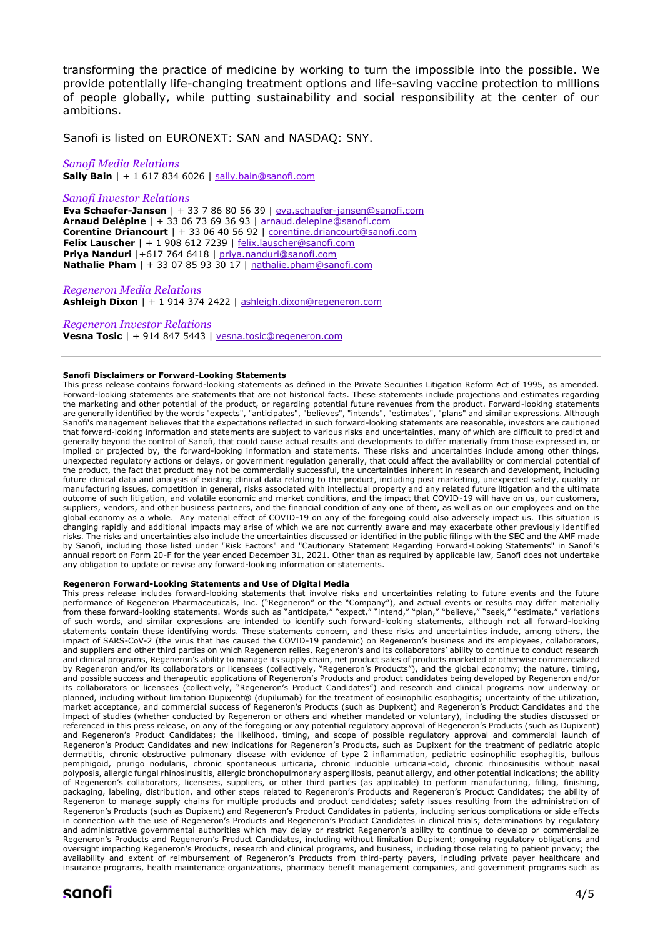transforming the practice of medicine by working to turn the impossible into the possible. We provide potentially life-changing treatment options and life-saving vaccine protection to millions of people globally, while putting sustainability and social responsibility at the center of our ambitions.

Sanofi is listed on EURONEXT: SAN and NASDAQ: SNY.

#### *Sanofi Media Relations*

**Sally Bain** | + 1 617 834 6026 | [sally.bain@sanofi.com](mailto:sally.bain@sanofi.com)

#### *Sanofi Investor Relations*

**Eva Schaefer-Jansen** | + 33 7 86 80 56 39 | [eva.schaefer-jansen@sanofi.com](mailto:eva.schaefer-jansen@sanofi.com) **Arnaud Delépine** | + 33 06 73 69 36 93 | [arnaud.delepine@sanofi.com](mailto:arnaud.delepine@sanofi.com) **Corentine Driancourt** | + 33 06 40 56 92 | [corentine.driancourt@sanofi.com](mailto:corentine.driancourt@sanofi.com) **Felix Lauscher** | + 1 908 612 7239 | [felix.lauscher@sanofi.com](mailto:felix.lauscher@sanofi.com) **Priya Nanduri** |+617 764 6418 | [priya.nanduri@sanofi.com](mailto:priya.nanduri@sanofi.com) **Nathalie Pham** | + 33 07 85 93 30 17 | [nathalie.pham@sanofi.com](mailto:nathalie.pham@sanofi.com)

#### *Regeneron Media Relations*

**Ashleigh Dixon** | + 1 914 374 2422 | [ashleigh.dixon@regeneron.com](mailto:ashleigh.dixon@regeneron.com) 

#### *Regeneron Investor Relations*

**Vesna Tosic** | + 914 847 5443 | [vesna.tosic@regeneron.com](mailto:vesna.tosic@regeneron.com)

#### **Sanofi Disclaimers or Forward-Looking Statements**

This press release contains forward-looking statements as defined in the Private Securities Litigation Reform Act of 1995, as amended. Forward-looking statements are statements that are not historical facts. These statements include projections and estimates regarding the marketing and other potential of the product, or regarding potential future revenues from the product. Forward-looking statements are generally identified by the words "expects", "anticipates", "believes", "intends", "estimates", "plans" and similar expressions. Although Sanofi's management believes that the expectations reflected in such forward-looking statements are reasonable, investors are cautioned that forward-looking information and statements are subject to various risks and uncertainties, many of which are difficult to predict and generally beyond the control of Sanofi, that could cause actual results and developments to differ materially from those expressed in, or implied or projected by, the forward-looking information and statements. These risks and uncertainties include among other things, unexpected regulatory actions or delays, or government regulation generally, that could affect the availability or commercial potential of the product, the fact that product may not be commercially successful, the uncertainties inherent in research and development, including future clinical data and analysis of existing clinical data relating to the product, including post marketing, unexpected safety, quality or manufacturing issues, competition in general, risks associated with intellectual property and any related future litigation and the ultimate outcome of such litigation, and volatile economic and market conditions, and the impact that COVID-19 will have on us, our customers, suppliers, vendors, and other business partners, and the financial condition of any one of them, as well as on our employees and on the global economy as a whole. Any material effect of COVID-19 on any of the foregoing could also adversely impact us. This situation is changing rapidly and additional impacts may arise of which we are not currently aware and may exacerbate other previously identified risks. The risks and uncertainties also include the uncertainties discussed or identified in the public filings with the SEC and the AMF made by Sanofi, including those listed under "Risk Factors" and "Cautionary Statement Regarding Forward-Looking Statements" in Sanofi's annual report on Form 20-F for the year ended December 31, 2021. Other than as required by applicable law, Sanofi does not undertake any obligation to update or revise any forward-looking information or statements.

#### **Regeneron Forward-Looking Statements and Use of Digital Media**

This press release includes forward-looking statements that involve risks and uncertainties relating to future events and the future performance of Regeneron Pharmaceuticals, Inc. ("Regeneron" or the "Company"), and actual events or results may differ materially from these forward-looking statements. Words such as "anticipate," "expect," "intend," "plan," "believe," "seek," "estimate," variations of such words, and similar expressions are intended to identify such forward-looking statements, although not all forward-looking statements contain these identifying words. These statements concern, and these risks and uncertainties include, among others, the impact of SARS-CoV-2 (the virus that has caused the COVID-19 pandemic) on Regeneron's business and its employees, collaborators, and suppliers and other third parties on which Regeneron relies, Regeneron's and its collaborators' ability to continue to conduct research and clinical programs, Regeneron's ability to manage its supply chain, net product sales of products marketed or otherwise commercialized by Regeneron and/or its collaborators or licensees (collectively, "Regeneron's Products"), and the global economy; the nature, timing, and possible success and therapeutic applications of Regeneron's Products and product candidates being developed by Regeneron and/or its collaborators or licensees (collectively, "Regeneron's Product Candidates") and research and clinical programs now underway or planned, including without limitation Dupixent® (dupilumab) for the treatment of eosinophilic esophagitis; uncertainty of the utilization, market acceptance, and commercial success of Regeneron's Products (such as Dupixent) and Regeneron's Product Candidates and the impact of studies (whether conducted by Regeneron or others and whether mandated or voluntary), including the studies discussed or referenced in this press release, on any of the foregoing or any potential regulatory approval of Regeneron's Products (such as Dupixent) and Regeneron's Product Candidates; the likelihood, timing, and scope of possible regulatory approval and commercial launch of Regeneron's Product Candidates and new indications for Regeneron's Products, such as Dupixent for the treatment of pediatric atopic dermatitis, chronic obstructive pulmonary disease with evidence of type 2 inflammation, pediatric eosinophilic esophagitis, bullous pemphigoid, prurigo nodularis, chronic spontaneous urticaria, chronic inducible urticaria-cold, chronic rhinosinusitis without nasal polyposis, allergic fungal rhinosinusitis, allergic bronchopulmonary aspergillosis, peanut allergy, and other potential indications; the ability of Regeneron's collaborators, licensees, suppliers, or other third parties (as applicable) to perform manufacturing, filling, finishing, packaging, labeling, distribution, and other steps related to Regeneron's Products and Regeneron's Product Candidates; the ability of Regeneron to manage supply chains for multiple products and product candidates; safety issues resulting from the administration of Regeneron's Products (such as Dupixent) and Regeneron's Product Candidates in patients, including serious complications or side effects in connection with the use of Regeneron's Products and Regeneron's Product Candidates in clinical trials; determinations by regulatory and administrative governmental authorities which may delay or restrict Regeneron's ability to continue to develop or commercialize Regeneron's Products and Regeneron's Product Candidates, including without limitation Dupixent; ongoing regulatory obligations and oversight impacting Regeneron's Products, research and clinical programs, and business, including those relating to patient privacy; the availability and extent of reimbursement of Regeneron's Products from third-party payers, including private payer healthcare and insurance programs, health maintenance organizations, pharmacy benefit management companies, and government programs such as